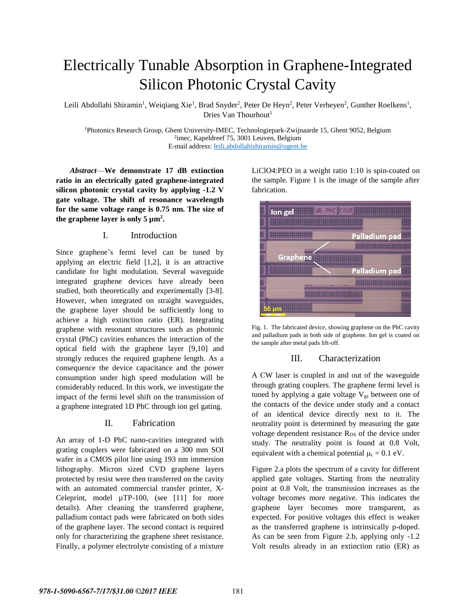# Electrically Tunable Absorption in Graphene-Integrated Silicon Photonic Crystal Cavity

Leili Abdollahi Shiramin<sup>1</sup>, Weiqiang Xie<sup>1</sup>, Brad Snyder<sup>2</sup>, Peter De Heyn<sup>2</sup>, Peter Verheyen<sup>2</sup>, Gunther Roelkens<sup>1</sup>, Dries Van Thourhout<sup>1</sup>

<sup>1</sup>Photonics Research Group, Ghent University-IMEC, Technologiepark-Zwijnaarde 15, Ghent 9052, Belgium 2 imec, Kapeldreef 75, 3001 Leuven, Belgium E-mail address: [leili.abdollahishiramin@ugent.be](mailto:leili.abdollahishiramin@ugent.be)

*Abstract*—**We demonstrate 17 dB extinction ratio in an electrically gated graphene-integrated silicon photonic crystal cavity by applying -1.2 V gate voltage. The shift of resonance wavelength for the same voltage range is 0.75 nm. The size of**  the graphene layer is only  $5 \mu m^2$ .

# I. Introduction

Since graphene's fermi level can be tuned by applying an electric field [1,2], it is an attractive candidate for light modulation. Several waveguide integrated graphene devices have already been studied, both theoretically and experimentally [3-8]. However, when integrated on straight waveguides, the graphene layer should be sufficiently long to achieve a high extinction ratio (ER). Integrating graphene with resonant structures such as photonic crystal (PhC) cavities enhances the interaction of the optical field with the graphene layer [9,10] and strongly reduces the required graphene length. As a consequence the device capacitance and the power consumption under high speed modulation will be considerably reduced. In this work, we investigate the impact of the fermi level shift on the transmission of a graphene integrated 1D PhC through ion gel gating.

# II. Fabrication

An array of 1-D PhC nano-cavities integrated with grating couplers were fabricated on a 300 mm SOI wafer in a CMOS pilot line using 193 nm immersion lithography. Micron sized CVD graphene layers protected by resist were then transferred on the cavity with an automated commercial transfer printer, X-Celeprint, model µTP-100, (see [11] for more details). After cleaning the transferred graphene, palladium contact pads were fabricated on both sides of the graphene layer. The second contact is required only for characterizing the graphene sheet resistance. Finally, a polymer electrolyte consisting of a mixture

LiClO4:PEO in a weight ratio 1:10 is spin-coated on the sample. Figure 1 is the image of the sample after fabrication.





# III. Characterization

A CW laser is coupled in and out of the waveguide through grating couplers. The graphene fermi level is tuned by applying a gate voltage  $V_{gs}$  between one of the contacts of the device under study and a contact of an identical device directly next to it. The neutrality point is determined by measuring the gate voltage dependent resistance R<sub>DS</sub> of the device under study. The neutrality point is found at 0.8 Volt, equivalent with a chemical potential  $\mu_c = 0.1$  eV.

Figure 2.a plots the spectrum of a cavity for different applied gate voltages. Starting from the neutrality point at 0.8 Volt, the transmission increases as the voltage becomes more negative. This indicates the graphene layer becomes more transparent, as expected. For positive voltages this effect is weaker as the transferred graphene is intrinsically p-doped. As can be seen from Figure 2.b, applying only -1.2 Volt results already in an extinction ratio (ER) as